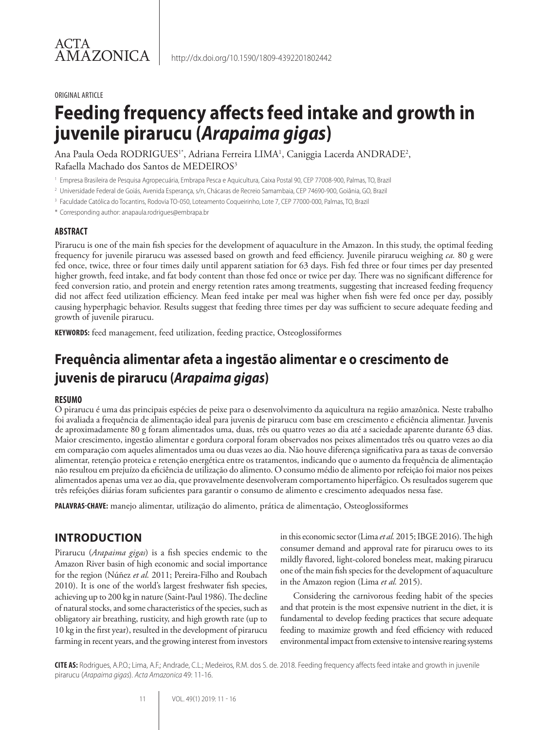#### ORIGINAL ARTICLE

# **Feeding frequency affects feed intake and growth in juvenile pirarucu (***Arapaima gigas***)**

Ana Paula Oeda RODRIGUES1\*, Adriana Ferreira LIMA<sup>1</sup>, Caniggia Lacerda ANDRADE<sup>2</sup>, Rafaella Machado dos Santos de MEDEIROS<sup>3</sup>

- <sup>1</sup> Empresa Brasileira de Pesquisa Agropecuária, Embrapa Pesca e Aquicultura, Caixa Postal 90, CEP 77008-900, Palmas, TO, Brazil
- <sup>2</sup> Universidade Federal de Goiás, Avenida Esperança, s/n, Chácaras de Recreio Samambaia, CEP 74690-900, Goiânia, GO, Brazil
- <sup>3</sup> Faculdade Católica do Tocantins, Rodovia TO-050, Loteamento Coqueirinho, Lote 7, CEP 77000-000, Palmas, TO, Brazil
- \* Corresponding author: anapaula.rodrigues@embrapa.br

#### **ABSTRACT**

Pirarucu is one of the main fish species for the development of aquaculture in the Amazon. In this study, the optimal feeding frequency for juvenile pirarucu was assessed based on growth and feed efficiency. Juvenile pirarucu weighing *ca.* 80 g were fed once, twice, three or four times daily until apparent satiation for 63 days. Fish fed three or four times per day presented higher growth, feed intake, and fat body content than those fed once or twice per day. There was no significant difference for feed conversion ratio, and protein and energy retention rates among treatments, suggesting that increased feeding frequency did not affect feed utilization efficiency. Mean feed intake per meal was higher when fish were fed once per day, possibly causing hyperphagic behavior. Results suggest that feeding three times per day was sufficient to secure adequate feeding and growth of juvenile pirarucu.

**KEYWORDS:** feed management, feed utilization, feeding practice, Osteoglossiformes

## **Frequência alimentar afeta a ingestão alimentar e o crescimento de juvenis de pirarucu (***Arapaima gigas***)**

#### **RESUMO**

O pirarucu é uma das principais espécies de peixe para o desenvolvimento da aquicultura na região amazônica. Neste trabalho foi avaliada a frequência de alimentação ideal para juvenis de pirarucu com base em crescimento e eficiência alimentar. Juvenis de aproximadamente 80 g foram alimentados uma, duas, três ou quatro vezes ao dia até a saciedade aparente durante 63 dias. Maior crescimento, ingestão alimentar e gordura corporal foram observados nos peixes alimentados três ou quatro vezes ao dia em comparação com aqueles alimentados uma ou duas vezes ao dia. Não houve diferença significativa para as taxas de conversão alimentar, retenção proteica e retenção energética entre os tratamentos, indicando que o aumento da frequência de alimentação não resultou em prejuízo da eficiência de utilização do alimento. O consumo médio de alimento por refeição foi maior nos peixes alimentados apenas uma vez ao dia, que provavelmente desenvolveram comportamento hiperfágico. Os resultados sugerem que três refeições diárias foram suficientes para garantir o consumo de alimento e crescimento adequados nessa fase.

**PALAVRAS-CHAVE:** manejo alimentar, utilização do alimento, prática de alimentação, Osteoglossiformes

## **INTRODUCTION**

Pirarucu (*Arapaima gigas*) is a fish species endemic to the Amazon River basin of high economic and social importance for the region (Núñez *et al.* 2011; Pereira-Filho and Roubach 2010). It is one of the world's largest freshwater fish species, achieving up to 200 kg in nature (Saint-Paul 1986). The decline of natural stocks, and some characteristics of the species, such as obligatory air breathing, rusticity, and high growth rate (up to 10 kg in the first year), resulted in the development of pirarucu farming in recent years, and the growing interest from investors

in this economic sector (Lima *et al.* 2015; IBGE 2016). The high consumer demand and approval rate for pirarucu owes to its mildly flavored, light-colored boneless meat, making pirarucu one of the main fish species for the development of aquaculture in the Amazon region (Lima *et al.* 2015).

Considering the carnivorous feeding habit of the species and that protein is the most expensive nutrient in the diet, it is fundamental to develop feeding practices that secure adequate feeding to maximize growth and feed efficiency with reduced environmental impact from extensive to intensive rearing systems

**CITE AS:** Rodrigues, A.P.O.; Lima, A.F.; Andrade, C.L.; Medeiros, R.M. dos S. de. 2018. Feeding frequency affects feed intake and growth in juvenile pirarucu (*Arapaima gigas*). *Acta Amazonica* 49: 11-16.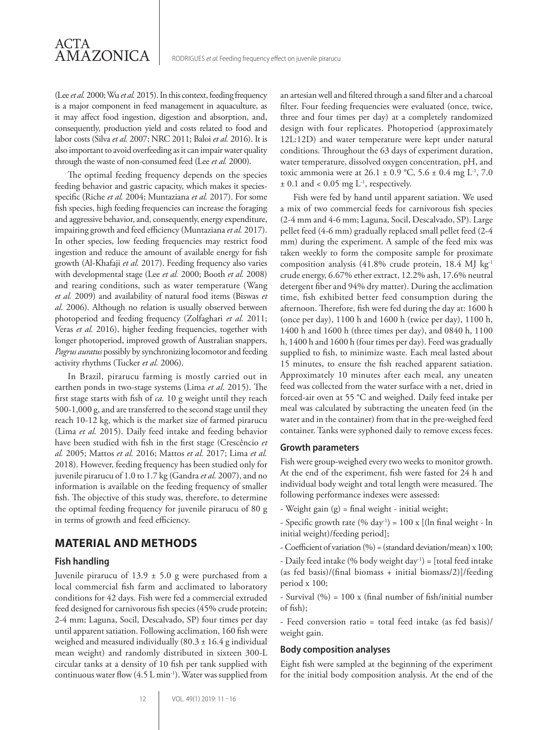(Lee *et al.* 2000; Wu *et al.* 2015). In this context, feeding frequency is a major component in feed management in aquaculture, as it may affect food ingestion, digestion and absorption, and, consequently, production yield and costs related to food and labor costs (Silva *et al.* 2007; NRC 2011; Baloi *et al.* 2016). It is also important to avoid overfeeding as it can impair water quality through the waste of non-consumed feed (Lee *et al.* 2000).

ACTA

AMAZONICA

The optimal feeding frequency depends on the species feeding behavior and gastric capacity, which makes it speciesspecific (Riche *et al.* 2004; Muntaziana *et al.* 2017). For some fish species, high feeding frequencies can increase the foraging and aggressive behavior, and, consequently, energy expenditure, impairing growth and feed efficiency (Muntaziana *et al.* 2017). In other species, low feeding frequencies may restrict food ingestion and reduce the amount of available energy for fish growth (Al-Khafaji *et al.* 2017). Feeding frequency also varies with developmental stage (Lee *et al.* 2000; Booth *et al.* 2008) and rearing conditions, such as water temperature (Wang *et al.* 2009) and availability of natural food items (Biswas *et al.* 2006). Although no relation is usually observed between photoperiod and feeding frequency (Zolfaghari *et al.* 2011; Veras et al. 2016), higher feeding frequencies, together with longer photoperiod, improved growth of Australian snappers, *Pagrus auratus* possibly by synchronizing locomotor and feeding activity rhythms (Tucker *et al.* 2006).

In Brazil, pirarucu farming is mostly carried out in earthen ponds in two-stage systems (Lima *et al.* 2015). The first stage starts with fish of *ca.* 10 g weight until they reach 500-1,000 g, and are transferred to the second stage until they reach 10-12 kg, which is the market size of farmed pirarucu (Lima *et al.* 2015). Daily feed intake and feeding behavior have been studied with fish in the first stage (Crescêncio *et al.* 2005; Mattos *et al.* 2016; Mattos *et al.* 2017; Lima *et al.*  2018). However, feeding frequency has been studied only for juvenile pirarucu of 1.0 to 1.7 kg (Gandra *et al.* 2007), and no information is available on the feeding frequency of smaller fish. The objective of this study was, therefore, to determine the optimal feeding frequency for juvenile pirarucu of 80 g in terms of growth and feed efficiency.

## **MATERIAL AND METHODS**

#### **Fish handling**

Juvenile pirarucu of  $13.9 \pm 5.0$  g were purchased from a local commercial fish farm and acclimated to laboratory conditions for 42 days. Fish were fed a commercial extruded feed designed for carnivorous fish species (45% crude protein; 2-4 mm; Laguna, Socil, Descalvado, SP) four times per day until apparent satiation. Following acclimation, 160 fish were weighed and measured individually  $(80.3 \pm 16.4 \text{ g}$  individual mean weight) and randomly distributed in sixteen 300-L circular tanks at a density of 10 fish per tank supplied with continuous water flow  $(4.5 \text{ L min}^{-1})$ . Water was supplied from an artesian well and filtered through a sand filter and a charcoal filter. Four feeding frequencies were evaluated (once, twice, three and four times per day) at a completely randomized design with four replicates. Photoperiod (approximately 12L:12D) and water temperature were kept under natural conditions. Throughout the 63 days of experiment duration, water temperature, dissolved oxygen concentration, pH, and toxic ammonia were at  $26.1 \pm 0.9$  °C,  $5.6 \pm 0.4$  mg L<sup>-1</sup>, 7.0  $\pm$  0.1 and < 0.05 mg L<sup>-1</sup>, respectively.

Fish were fed by hand until apparent satiation. We used a mix of two commercial feeds for carnivorous fish species (2-4 mm and 4-6 mm; Laguna, Socil, Descalvado, SP). Large pellet feed (4-6 mm) gradually replaced small pellet feed (2-4 mm) during the experiment. A sample of the feed mix was taken weekly to form the composite sample for proximate composition analysis (41.8% crude protein, 18.4 MJ kg-1 crude energy, 6.67% ether extract, 12.2% ash, 17.6% neutral detergent fiber and 94% dry matter). During the acclimation time, fish exhibited better feed consumption during the afternoon. Therefore, fish were fed during the day at: 1600 h (once per day), 1100 h and 1600 h (twice per day), 1100 h, 1400 h and 1600 h (three times per day), and 0840 h, 1100 h, 1400 h and 1600 h (four times per day). Feed was gradually supplied to fish, to minimize waste. Each meal lasted about 15 minutes, to ensure the fish reached apparent satiation. Approximately 10 minutes after each meal, any uneaten feed was collected from the water surface with a net, dried in forced-air oven at 55 °C and weighed. Daily feed intake per meal was calculated by subtracting the uneaten feed (in the water and in the container) from that in the pre-weighed feed container. Tanks were syphoned daily to remove excess feces.

#### **Growth parameters**

Fish were group-weighed every two weeks to monitor growth. At the end of the experiment, fish were fasted for 24 h and individual body weight and total length were measured. The following performance indexes were assessed:

- Weight gain (g) = final weight initial weight;
- Specific growth rate (% day<sup>-1</sup>) =  $100 \times$  [(ln final weight ln initial weight)/feeding period];
- Coefficient of variation (%) = (standard deviation/mean) x 100;

- Daily feed intake (% body weight day<sup>-1</sup>) = [total feed intake (as fed basis)/(final biomass + initial biomass/2)]/feeding period x 100;

- Survival (%) = 100 x (final number of fish/initial number of fish);

- Feed conversion ratio = total feed intake (as fed basis)/ weight gain.

#### **Body composition analyses**

Eight fish were sampled at the beginning of the experiment for the initial body composition analysis. At the end of the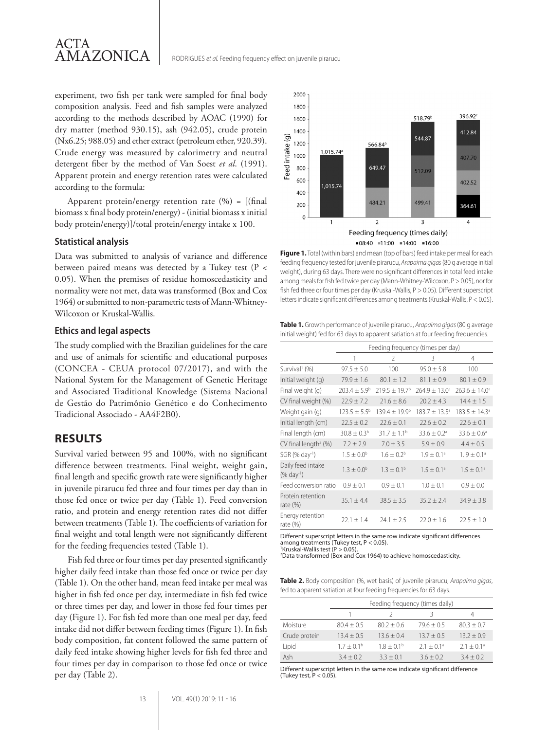experiment, two fish per tank were sampled for final body composition analysis. Feed and fish samples were analyzed according to the methods described by AOAC (1990) for dry matter (method 930.15), ash (942.05), crude protein (Nx6.25; 988.05) and ether extract (petroleum ether, 920.39). Crude energy was measured by calorimetry and neutral detergent fiber by the method of Van Soest *et al*. (1991). Apparent protein and energy retention rates were calculated according to the formula:

Apparent protein/energy retention rate  $(\%) = [(\text{final})$ biomass x final body protein/energy) - (initial biomass x initial body protein/energy)]/total protein/energy intake x 100.

#### **Statistical analysis**

Data was submitted to analysis of variance and difference between paired means was detected by a Tukey test (P < 0.05). When the premises of residue homoscedasticity and normality were not met, data was transformed (Box and Cox 1964) or submitted to non-parametric tests of Mann-Whitney-Wilcoxon or Kruskal-Wallis.

#### **Ethics and legal aspects**

The study complied with the Brazilian guidelines for the care and use of animals for scientific and educational purposes (CONCEA - CEUA protocol 07/2017), and with the National System for the Management of Genetic Heritage and Associated Traditional Knowledge (Sistema Nacional de Gestão do Patrimônio Genético e do Conhecimento Tradicional Associado - AA4F2B0).

## **RESULTS**

Survival varied between 95 and 100%, with no significant difference between treatments. Final weight, weight gain, final length and specific growth rate were significantly higher in juvenile pirarucu fed three and four times per day than in those fed once or twice per day (Table 1). Feed conversion ratio, and protein and energy retention rates did not differ between treatments (Table 1). The coefficients of variation for final weight and total length were not significantly different for the feeding frequencies tested (Table 1).

Fish fed three or four times per day presented significantly higher daily feed intake than those fed once or twice per day (Table 1). On the other hand, mean feed intake per meal was higher in fish fed once per day, intermediate in fish fed twice or three times per day, and lower in those fed four times per day (Figure 1). For fish fed more than one meal per day, feed intake did not differ between feeding times (Figure 1). In fish body composition, fat content followed the same pattern of daily feed intake showing higher levels for fish fed three and four times per day in comparison to those fed once or twice per day (Table 2).



**Figure 1.** Total (within bars) and mean (top of bars) feed intake per meal for each feeding frequency tested for juvenile pirarucu, *Arapaima gigas*(80 g average initial weight), during 63 days. There were no significant differences in total feed intake among meals for fish fed twice per day (Mann-Whitney-Wilcoxon, P > 0.05), nor for fish fed three or four times per day (Kruskal-Wallis, P > 0.05). Different superscript letters indicate significant differences among treatments (Kruskal-Wallis, P < 0.05).

**Table 1.** Growth performance of juvenile pirarucu, *Arapaima gigas*(80 g average initial weight) fed for 63 days to apparent satiation at four feeding frequencies.

|                                                | Feeding frequency (times per day) |                        |                             |                          |  |
|------------------------------------------------|-----------------------------------|------------------------|-----------------------------|--------------------------|--|
|                                                | 1                                 | $\mathcal{P}$          | 3                           | 4                        |  |
| Survival <sup>1</sup> (%)                      | $97.5 \pm 5.0$                    | 100                    | $95.0 \pm 5.8$              | 100                      |  |
| Initial weight (g)                             | $79.9 \pm 1.6$                    | $80.1 \pm 1.2$         | $81.1 \pm 0.9$              | $80.1 \pm 0.9$           |  |
| Final weight (g)                               | $703.4 + 5.9b$                    | $719.5 + 19.7b$        | $764.9 + 13.0$ <sup>a</sup> | $263.6 \pm 14.0^{\circ}$ |  |
| CV final weight (%)                            | $22.9 \pm 7.2$                    | $21.6 \pm 8.6$         | $20.2 \pm 4.3$              | $14.4 \pm 1.5$           |  |
| Weight gain (g)                                | $123.5 \pm 5.5^{\circ}$           | $139.4 + 19.9b$        | $183.7 \pm 13.5^{\circ}$    | $183.5 \pm 14.3^{\circ}$ |  |
| Initial length (cm)                            | $22.5 \pm 0.2$                    | $22.6 \pm 0.1$         | $22.6 \pm 0.2$              | $22.6 \pm 0.1$           |  |
| Final length (cm)                              | $30.8 \pm 0.3^{\circ}$            | $31.7 \pm 1.1^{\circ}$ | $33.6 \pm 0.2$ <sup>a</sup> | $33.6 \pm 0.6^{\circ}$   |  |
| CV final length <sup>2</sup> (%)               | $7.2 \pm 2.9$                     | $7.0 \pm 3.5$          | $5.9 \pm 0.9$               | $4.4 \pm 0.5$            |  |
| SGR (% day <sup>-1</sup> )                     | $1.5 \pm 0.0^{\circ}$             | $1.6 \pm 0.2^b$        | $1.9 \pm 0.1^a$             | $1.9 \pm 0.1^{\circ}$    |  |
| Daily feed intake<br>$(\%$ day <sup>-1</sup> ) | $1.3 \pm 0.0^{\circ}$             | $1.3 \pm 0.1^{\circ}$  | $1.5 \pm 0.1^{\circ}$       | $1.5 \pm 0.1^{\circ}$    |  |
| Feed conversion ratio                          | $0.9 + 0.1$                       | $0.9 \pm 0.1$          | $1.0 + 0.1$                 | $0.9 \pm 0.0$            |  |
| Protein retention<br>rate (%)                  | $35.1 \pm 4.4$                    | $38.5 \pm 3.5$         | $35.2 \pm 2.4$              | $34.9 \pm 3.8$           |  |
| Energy retention<br>rate (%)                   | $22.1 + 1.4$                      | $24.1 \pm 2.5$         | $22.0 \pm 1.6$              | $22.5 \pm 1.0$           |  |

Different superscript letters in the same row indicate significant differences among treatments (Tukey test, P < 0.05). 1 Kruskal-Wallis test (P > 0.05).

2 Data transformed (Box and Cox 1964) to achieve homoscedasticity.

**Table 2.** Body composition (%, wet basis) of juvenile pirarucu, *Arapaima gigas*, fed to apparent satiation at four feeding frequencies for 63 days.

|               | Feeding frequency (times daily) |              |                          |                          |  |
|---------------|---------------------------------|--------------|--------------------------|--------------------------|--|
|               |                                 |              |                          | 4                        |  |
| Moisture      | $80.4 + 0.5$                    | $80.2 + 0.6$ | $79.6 + 0.5$             | $80.3 + 0.7$             |  |
| Crude protein | $13.4 + 0.5$                    | $13.6 + 0.4$ | $13.7 + 0.5$             | $13.2 + 0.9$             |  |
| Lipid         | $1.7 + 0.1b$                    | $1.8 + 0.1b$ | $2.1 + 0.1$ <sup>a</sup> | $2.1 + 0.1$ <sup>a</sup> |  |
| Ash           | $3.4 + 0.2$                     | $3.3 + 0.1$  | $3.6 + 0.2$              | $3.4 + 0.2$              |  |

Different superscript letters in the same row indicate significant difference (Tukey test,  $P < 0.05$ )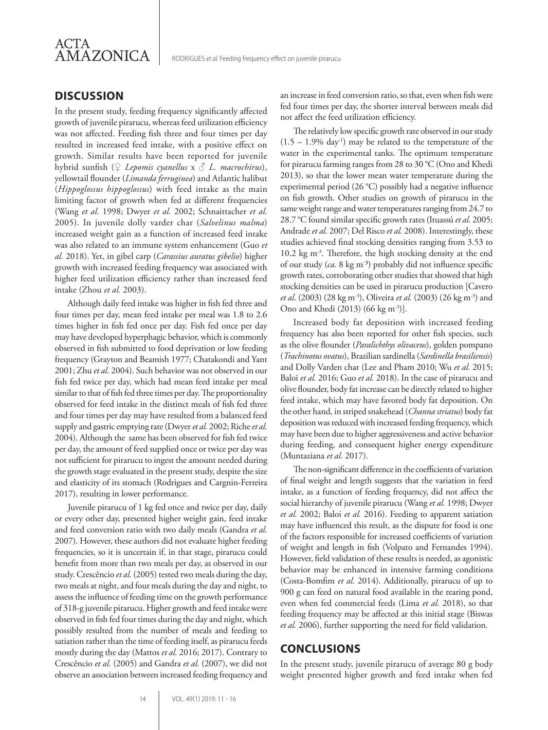

## **DISCUSSION**

In the present study, feeding frequency significantly affected growth of juvenile pirarucu, whereas feed utilization efficiency was not affected. Feeding fish three and four times per day resulted in increased feed intake, with a positive effect on growth. Similar results have been reported for juvenile hybrid sunfish (♀ *Lepomis cyanellus* x ♂ *L. macrochirus*), yellowtail flounder (*Limanda ferruginea*) and Atlantic halibut (*Hippoglossus hippoglossus*) with feed intake as the main limiting factor of growth when fed at different frequencies (Wang *et al.* 1998; Dwyer *et al.* 2002; Schnaittacher *et al.* 2005). In juvenile dolly varder char (*Salvelinus malma*) increased weight gain as a function of increased feed intake was also related to an immune system enhancement (Guo *et al.* 2018). Yet, in gibel carp (*Carassius auratus gibelio*) higher growth with increased feeding frequency was associated with higher feed utilization efficiency rather than increased feed intake (Zhou *et al.* 2003).

Although daily feed intake was higher in fish fed three and four times per day, mean feed intake per meal was 1.8 to 2.6 times higher in fish fed once per day. Fish fed once per day may have developed hyperphagic behavior, which is commonly observed in fish submitted to food deprivation or low feeding frequency (Grayton and Beamish 1977; Chatakondi and Yant 2001; Zhu *et al.* 2004). Such behavior was not observed in our fish fed twice per day, which had mean feed intake per meal similar to that of fish fed three times per day. The proportionality observed for feed intake in the distinct meals of fish fed three and four times per day may have resulted from a balanced feed supply and gastric emptying rate (Dwyer *et al.* 2002; Riche *et al.* 2004). Although the same has been observed for fish fed twice per day, the amount of feed supplied once or twice per day was not sufficient for pirarucu to ingest the amount needed during the growth stage evaluated in the present study, despite the size and elasticity of its stomach (Rodrigues and Cargnin-Ferreira 2017), resulting in lower performance.

Juvenile pirarucu of 1 kg fed once and twice per day, daily or every other day, presented higher weight gain, feed intake and feed conversion ratio with two daily meals (Gandra *et al.* 2007). However, these authors did not evaluate higher feeding frequencies, so it is uncertain if, in that stage, pirarucu could benefit from more than two meals per day, as observed in our study. Crescêncio *et al.* (2005) tested two meals during the day, two meals at night, and four meals during the day and night, to assess the influence of feeding time on the growth performance of 318-g juvenile pirarucu. Higher growth and feed intake were observed in fish fed four times during the day and night, which possibly resulted from the number of meals and feeding to satiation rather than the time of feeding itself, as pirarucu feeds mostly during the day (Mattos *et al.* 2016; 2017). Contrary to Crescêncio *et al.* (2005) and Gandra *et al.* (2007), we did not observe an association between increased feeding frequency and an increase in feed conversion ratio, so that, even when fish were fed four times per day, the shorter interval between meals did not affect the feed utilization efficiency.

The relatively low specific growth rate observed in our study  $(1.5 - 1.9\%$  day<sup>-1</sup>) may be related to the temperature of the water in the experimental tanks. The optimum temperature for pirarucu farming ranges from 28 to 30 °C (Ono and Khedi 2013), so that the lower mean water temperature during the experimental period (26 °C) possibly had a negative influence on fish growth. Other studies on growth of pirarucu in the same weight range and water temperatures ranging from 24.7 to 28.7 °C found similar specific growth rates (Ituassú *et al.* 2005; Andrade *et al.* 2007; Del Risco *et al.* 2008). Interestingly, these studies achieved final stocking densities ranging from 3.53 to 10.2 kg m-3. Therefore, the high stocking density at the end of our study (*ca.* 8 kg m- ³) probably did not influence specific growth rates, corroborating other studies that showed that high stocking densities can be used in pirarucu production [Cavero *et al.* (2003) (28 kg m<sup>-3</sup>), Oliveira *et al.* (2003) (26 kg m<sup>-3</sup>) and Ono and Khedi (2013) (66 kg m<sup>-3</sup>)].

Increased body fat deposition with increased feeding frequency has also been reported for other fish species, such as the olive flounder (*Paralichthys olivaceus*), golden pompano (*Trachinotus ovatus*), Brazilian sardinella (*Sardinella brasiliensis*) and Dolly Varden char (Lee and Pham 2010; Wu *et al.* 2015; Baloi *et al.* 2016; Guo *et al.* 2018). In the case of pirarucu and olive flounder, body fat increase can be directly related to higher feed intake, which may have favored body fat deposition. On the other hand, in striped snakehead (*Channa striatus*) body fat deposition was reduced with increased feeding frequency, which may have been due to higher aggressiveness and active behavior during feeding, and consequent higher energy expenditure (Muntaziana *et al.* 2017).

The non-significant difference in the coefficients of variation of final weight and length suggests that the variation in feed intake, as a function of feeding frequency, did not affect the social hierarchy of juvenile pirarucu (Wang *et al.* 1998; Dwyer *et al.* 2002; Baloi *et al.* 2016). Feeding to apparent satiation may have influenced this result, as the dispute for food is one of the factors responsible for increased coefficients of variation of weight and length in fish (Volpato and Fernandes 1994). However, field validation of these results is needed, as agonistic behavior may be enhanced in intensive farming conditions (Costa-Bomfim *et al.* 2014). Additionally, pirarucu of up to 900 g can feed on natural food available in the rearing pond, even when fed commercial feeds (Lima *et al.* 2018), so that feeding frequency may be affected at this initial stage (Biswas *et al.* 2006), further supporting the need for field validation.

## **CONCLUSIONS**

In the present study, juvenile pirarucu of average 80 g body weight presented higher growth and feed intake when fed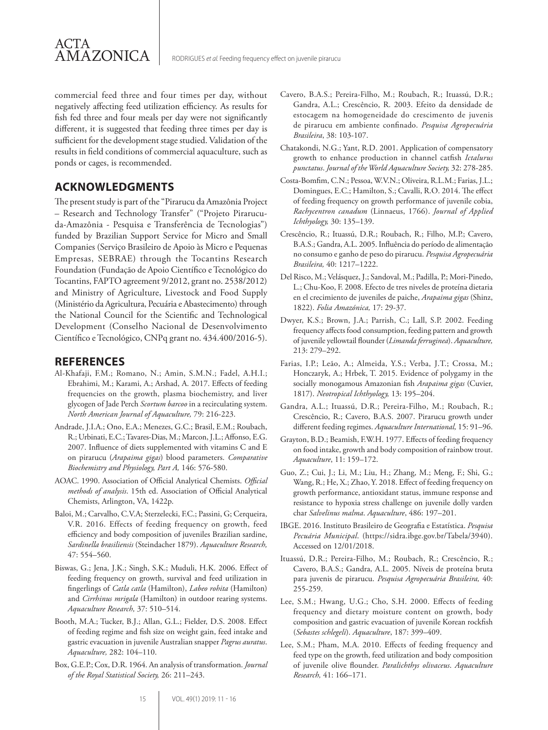commercial feed three and four times per day, without negatively affecting feed utilization efficiency. As results for fish fed three and four meals per day were not significantly different, it is suggested that feeding three times per day is sufficient for the development stage studied. Validation of the results in field conditions of commercial aquaculture, such as ponds or cages, is recommended.

## **ACKNOWLEDGMENTS**

ACTA

**AMAZONICA** 

The present study is part of the "Pirarucu da Amazônia Project – Research and Technology Transfer" ("Projeto Pirarucuda-Amazônia - Pesquisa e Transferência de Tecnologias") funded by Brazilian Support Service for Micro and Small Companies (Serviço Brasileiro de Apoio às Micro e Pequenas Empresas, SEBRAE) through the Tocantins Research Foundation (Fundação de Apoio Científico e Tecnológico do Tocantins, FAPTO agreement 9/2012, grant no. 2538/2012) and Ministry of Agriculture, Livestock and Food Supply (Ministério da Agricultura, Pecuária e Abastecimento) through the National Council for the Scientific and Technological Development (Conselho Nacional de Desenvolvimento Científico e Tecnológico, CNPq grant no. 434.400/2016-5).

## **REFERENCES**

- Al-Khafaji, F.M.; Romano, N.; Amin, S.M.N.; Fadel, A.H.I.; Ebrahimi, M.; Karami, A.; Arshad, A. 2017. Effects of feeding frequencies on the growth, plasma biochemistry, and liver glycogen of Jade Perch *Scortum barcoo* in a recirculating system. *North American Journal of Aquaculture,* 79: 216-223.
- Andrade, J.I.A.; Ono, E.A.; Menezes, G.C.; Brasil, E.M.; Roubach, R.; Urbinati, E.C.; Tavares-Dias, M.; Marcon, J.L.; Affonso, E.G. 2007. Influence of diets supplemented with vitamins C and E on pirarucu (*Arapaima gigas*) blood parameters. *Comparative Biochemistry and Physiology, Part A,* 146: 576-580.
- AOAC. 1990. Association of Official Analytical Chemists. *Official methods of analysis*. 15th ed. Association of Official Analytical Chemists, Arlington, VA, 1422p.
- Baloi, M.; Carvalho, C.V.A; Sterzelecki, F.C.; Passini, G; Cerqueira, V.R. 2016. Effects of feeding frequency on growth, feed efficiency and body composition of juveniles Brazilian sardine, *Sardinella brasiliensis* (Steindacher 1879). *Aquaculture Research,* 47: 554–560.
- Biswas, G.; Jena, J.K.; Singh, S.K.; Muduli, H.K. 2006. Effect of feeding frequency on growth, survival and feed utilization in fingerlings of *Catla catla* (Hamilton), *Labeo rohita* (Hamilton) and *Cirrhinus mrigala* (Hamilton) in outdoor rearing systems. *Aquaculture Research,* 37: 510–514.
- Booth, M.A.; Tucker, B.J.; Allan, G.L.; Fielder, D.S. 2008. Effect of feeding regime and fish size on weight gain, feed intake and gastric evacuation in juvenile Australian snapper *Pagrus auratus*. *Aquaculture,* 282: 104–110.
- Box, G.E.P.; Cox, D.R. 1964. An analysis of transformation. *Journal of the Royal Statistical Society,* 26: 211–243.
- Cavero, B.A.S.; Pereira-Filho, M.; Roubach, R.; Ituassú, D.R.; Gandra, A.L.; Crescêncio, R. 2003. Efeito da densidade de estocagem na homogeneidade do crescimento de juvenis de pirarucu em ambiente confinado. *Pesquisa Agropecuária Brasileira*, 38: 103-107.
- Chatakondi, N.G.; Yant, R.D. 2001. Application of compensatory growth to enhance production in channel catfish *Ictalurus punctatus*. *Journal of the World Aquaculture Society,* 32: 278-285.
- Costa-Bomfim, C.N.; Pessoa, W.V.N.; Oliveira, R.L.M.; Farias, J.L.; Domingues, E.C.; Hamilton, S.; Cavalli, R.O. 2014. The effect of feeding frequency on growth performance of juvenile cobia, *Rachycentron canadum* (Linnaeus, 1766). *Journal of Applied Ichthyology,* 30: 135–139.
- Crescêncio, R.; Ituassú, D.R.; Roubach, R.; Filho, M.P.; Cavero, B.A.S.; Gandra, A.L. 2005. Influência do período de alimentação no consumo e ganho de peso do pirarucu. *Pesquisa Agropecuária Brasileira,* 40: 1217–1222.
- Del Risco, M.; Velásquez, J.; Sandoval, M.; Padilla, P.; Mori-Pinedo, L.; Chu-Koo, F. 2008. Efecto de tres niveles de proteína dietaria en el crecimiento de juveniles de paiche, *Arapaima gigas* (Shinz, 1822). *Folia Amazónica,* 17: 29-37.
- Dwyer, K.S.; Brown, J.A.; Parrish, C.; Lall, S.P. 2002. Feeding frequency affects food consumption, feeding pattern and growth of juvenile yellowtail flounder (*Limanda ferruginea*). *Aquaculture,* 213: 279–292.
- Farias, I.P.; Leão, A.; Almeida, Y.S.; Verba, J.T.; Crossa, M.; Honczaryk, A.; Hrbek, T. 2015. Evidence of polygamy in the socially monogamous Amazonian fish *Arapaima gigas* (Cuvier, 1817). *Neotropical Ichthyology,* 13: 195–204.
- Gandra, A.L.; Ituassú, D.R.; Pereira-Filho, M.; Roubach, R.; Crescêncio, R.; Cavero, B.A.S. 2007. Pirarucu growth under different feeding regimes. *Aquaculture International,* 15: 91–96.
- Grayton, B.D.; Beamish, F.W.H. 1977. Effects of feeding frequency on food intake, growth and body composition of rainbow trout. *Aquaculture*, 11: 159–172.
- Guo, Z.; Cui, J.; Li, M.; Liu, H.; Zhang, M.; Meng, F.; Shi, G.; Wang, R.; He, X.; Zhao, Y. 2018. Effect of feeding frequency on growth performance, antioxidant status, immune response and resistance to hypoxia stress challenge on juvenile dolly varden char *Salvelinus malma*. *Aquaculture*, 486: 197–201.
- IBGE. 2016. Instituto Brasileiro de Geografia e Estatística. *Pesquisa Pecuária Municipal*. (https://sidra.ibge.gov.br/Tabela/3940). Accessed on 12/01/2018.
- Ituassú, D.R.; Pereira-Filho, M.; Roubach, R.; Crescêncio, R.; Cavero, B.A.S.; Gandra, A.L. 2005. Níveis de proteína bruta para juvenis de pirarucu. *Pesquisa Agropecuária Brasileira,* 40: 255-259.
- Lee, S.M.; Hwang, U.G.; Cho, S.H. 2000. Effects of feeding frequency and dietary moisture content on growth, body composition and gastric evacuation of juvenile Korean rockfish (*Sebastes schlegeli*). *Aquaculture*, 187: 399–409.
- Lee, S.M.; Pham, M.A. 2010. Effects of feeding frequency and feed type on the growth, feed utilization and body composition of juvenile olive flounder. *Paralichthys olivaceus*. *Aquaculture Research,* 41: 166–171.